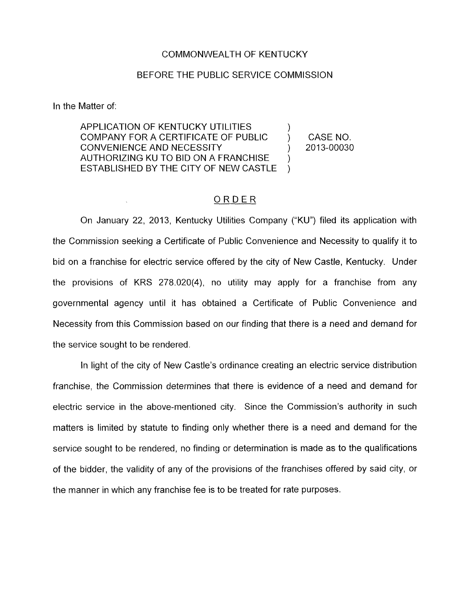## COMMONWEALTH OF KENTUCKY

## BEFORE THE PUBLIC SERVICE COMMISSION

In the Matter of:

APPLICATION OF KENTUCKY UTILITIES COMPANY FOR A CERTIFICATE OF PUBLIC  $\qquad$  ) CASE NO.<br>CONVENIENCE AND NECESSITY (2013-00030) CONVENIENCE AND NECESSITY (2013) AUTHORIZING KU TO BID ON A FRANCHISE ESTABLISHED BY THE CITY OF NEW CASTLE  $\overline{)}$ ) )

## ORDER

On January 22, 2013, Kentucky Utilities Company ("KU") filed its application with the Commission seeking a Certificate of Public Convenience and Necessity to qualify it to bid on a franchise for electric service offered by the city of New Castle, Kentucky. Under the provisions of KRS 278.020(4), no utility may apply for a franchise from any governmental agency until it has obtained a Certificate of Public Convenience and Necessity from this Commission based on our finding that there is a need and demand for the service sought to be rendered.

In light of the city of New Castle's ordinance creating an electric service distribution franchise, the Commission determines that there is evidence of a need and demand for electric service in the above-mentioned city, Since the Commission's authority in such matters is limited by statute to finding only whether there is a need and demand for the service sought to be rendered, no finding or determination is made as to the qualifications of the bidder, the validity of any of the provisions of the franchises offered by said city, or the manner in which any franchise fee is to be treated for rate purposes.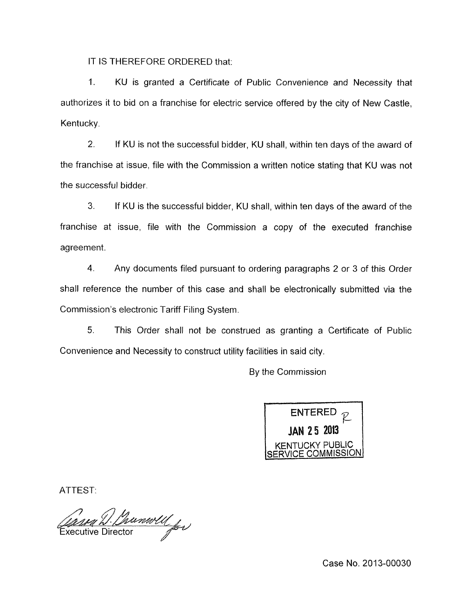IT IS THEREFORE ORDERED that:

1. KU is granted a Certificate of Public Convenience and Necessity that authorizes it to bid on a franchise for electric service offered by the city of New Castle, Kentucky.

2. If KU is not the successful bidder, KU shall, within ten days af the award of the franchise at issue, file with the Commission a written notice stating that KU was not the successful bidder.

*3.* If KU is the successful bidder, KU shall, within ten days of the award of the franchise at issue, file with the Commission a copy of the executed franchise agreement.

**4.** Any documents filed pursuant to ordering paragraphs 2 or 3 of this Order shall reference the number of this case and shall be electronically submitted via the Commission's electronic Tariff Filing System.

5. This Order shall not be construed as granting a Certificate of Public Convenience and Necessity to construct utility facilities in said city.

By the Commission



ATTEST:

(Maseur L. Channoll for

Case No. 2013-00030